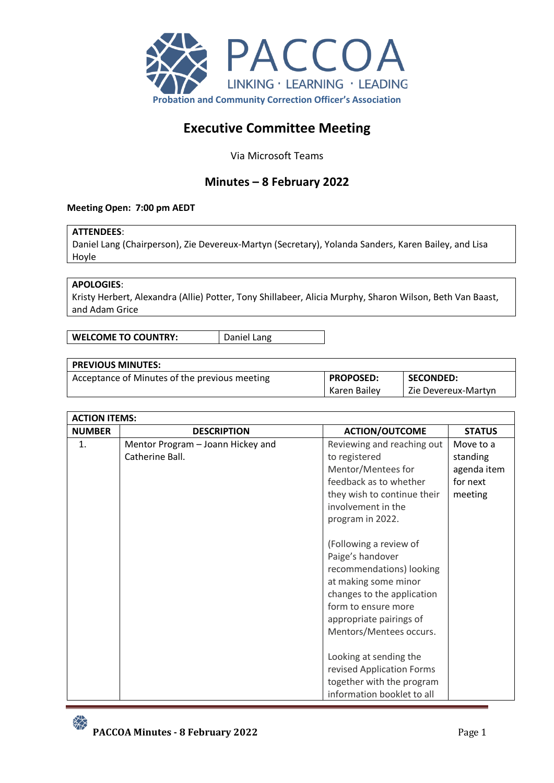

# **Executive Committee Meeting**

Via Microsoft Teams

## **Minutes – 8 February 2022**

## **Meeting Open: 7:00 pm AEDT**

## **ATTENDEES**:

Daniel Lang (Chairperson), Zie Devereux-Martyn (Secretary), Yolanda Sanders, Karen Bailey, and Lisa Hoyle

## **APOLOGIES**:

Kristy Herbert, Alexandra (Allie) Potter, Tony Shillabeer, Alicia Murphy, Sharon Wilson, Beth Van Baast, and Adam Grice

**WELCOME TO COUNTRY:** Daniel Lang

## **PREVIOUS MINUTES:**

| Acceptance of Minutes of the previous meeting | <b>PROPOSED:</b> | SECONDED:           |
|-----------------------------------------------|------------------|---------------------|
|                                               | Karen Bailev     | Zie Devereux-Martyn |

| <b>ACTION ITEMS:</b> |                                   |                             |               |  |
|----------------------|-----------------------------------|-----------------------------|---------------|--|
| <b>NUMBER</b>        | <b>DESCRIPTION</b>                | <b>ACTION/OUTCOME</b>       | <b>STATUS</b> |  |
| 1.                   | Mentor Program - Joann Hickey and | Reviewing and reaching out  | Move to a     |  |
|                      | Catherine Ball.                   | to registered               | standing      |  |
|                      |                                   | Mentor/Mentees for          | agenda item   |  |
|                      |                                   | feedback as to whether      | for next      |  |
|                      |                                   | they wish to continue their | meeting       |  |
|                      |                                   | involvement in the          |               |  |
|                      |                                   | program in 2022.            |               |  |
|                      |                                   |                             |               |  |
|                      |                                   | (Following a review of      |               |  |
|                      |                                   | Paige's handover            |               |  |
|                      |                                   | recommendations) looking    |               |  |
|                      |                                   | at making some minor        |               |  |
|                      |                                   | changes to the application  |               |  |
|                      |                                   | form to ensure more         |               |  |
|                      |                                   | appropriate pairings of     |               |  |
|                      |                                   | Mentors/Mentees occurs.     |               |  |
|                      |                                   |                             |               |  |
|                      |                                   | Looking at sending the      |               |  |
|                      |                                   | revised Application Forms   |               |  |
|                      |                                   | together with the program   |               |  |
|                      |                                   | information booklet to all  |               |  |

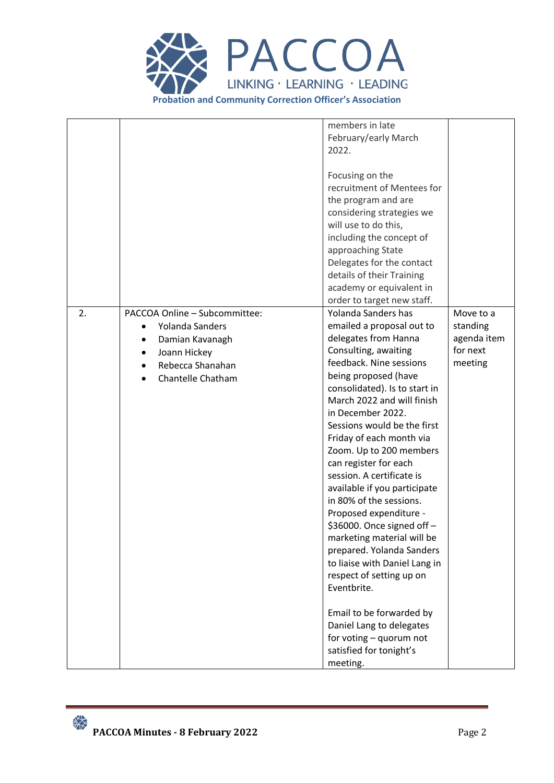

| members in late<br>February/early March                                                                                                                                                                                                                                                                                                                                                                                                                                                                                                                                                                                                                                                                                                      |                                                             |
|----------------------------------------------------------------------------------------------------------------------------------------------------------------------------------------------------------------------------------------------------------------------------------------------------------------------------------------------------------------------------------------------------------------------------------------------------------------------------------------------------------------------------------------------------------------------------------------------------------------------------------------------------------------------------------------------------------------------------------------------|-------------------------------------------------------------|
| Focusing on the<br>recruitment of Mentees for<br>the program and are<br>considering strategies we<br>will use to do this,<br>including the concept of<br>approaching State<br>Delegates for the contact<br>details of their Training<br>academy or equivalent in<br>order to target new staff.                                                                                                                                                                                                                                                                                                                                                                                                                                               |                                                             |
| Yolanda Sanders has<br>emailed a proposal out to<br>delegates from Hanna<br>Consulting, awaiting<br>feedback. Nine sessions<br>being proposed (have<br>consolidated). Is to start in<br>March 2022 and will finish<br>in December 2022.<br>Sessions would be the first<br>Friday of each month via<br>Zoom. Up to 200 members<br>can register for each<br>session. A certificate is<br>available if you participate<br>in 80% of the sessions.<br>Proposed expenditure -<br>\$36000. Once signed off -<br>marketing material will be<br>prepared. Yolanda Sanders<br>to liaise with Daniel Lang in<br>respect of setting up on<br>Email to be forwarded by<br>Daniel Lang to delegates<br>for voting - quorum not<br>satisfied for tonight's | Move to a<br>standing<br>agenda item<br>for next<br>meeting |
|                                                                                                                                                                                                                                                                                                                                                                                                                                                                                                                                                                                                                                                                                                                                              |                                                             |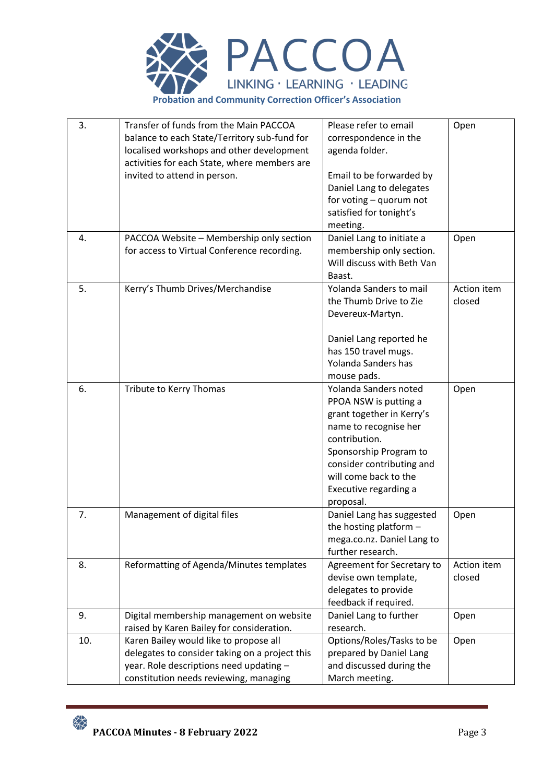

| 3.  | Transfer of funds from the Main PACCOA         | Please refer to email      | Open        |
|-----|------------------------------------------------|----------------------------|-------------|
|     | balance to each State/Territory sub-fund for   | correspondence in the      |             |
|     | localised workshops and other development      | agenda folder.             |             |
|     | activities for each State, where members are   |                            |             |
|     | invited to attend in person.                   | Email to be forwarded by   |             |
|     |                                                | Daniel Lang to delegates   |             |
|     |                                                | for voting - quorum not    |             |
|     |                                                | satisfied for tonight's    |             |
|     |                                                | meeting.                   |             |
| 4.  | PACCOA Website - Membership only section       | Daniel Lang to initiate a  | Open        |
|     | for access to Virtual Conference recording.    | membership only section.   |             |
|     |                                                | Will discuss with Beth Van |             |
|     |                                                | Baast.                     |             |
| 5.  | Kerry's Thumb Drives/Merchandise               | Yolanda Sanders to mail    | Action item |
|     |                                                | the Thumb Drive to Zie     | closed      |
|     |                                                | Devereux-Martyn.           |             |
|     |                                                |                            |             |
|     |                                                | Daniel Lang reported he    |             |
|     |                                                | has 150 travel mugs.       |             |
|     |                                                | Yolanda Sanders has        |             |
|     |                                                | mouse pads.                |             |
| 6.  | Tribute to Kerry Thomas                        | Yolanda Sanders noted      | Open        |
|     |                                                | PPOA NSW is putting a      |             |
|     |                                                | grant together in Kerry's  |             |
|     |                                                | name to recognise her      |             |
|     |                                                | contribution.              |             |
|     |                                                | Sponsorship Program to     |             |
|     |                                                | consider contributing and  |             |
|     |                                                | will come back to the      |             |
|     |                                                | Executive regarding a      |             |
|     |                                                | proposal.                  |             |
| 7.  | Management of digital files                    | Daniel Lang has suggested  | Open        |
|     |                                                | the hosting platform $-$   |             |
|     |                                                | mega.co.nz. Daniel Lang to |             |
|     |                                                | further research.          |             |
| 8.  | Reformatting of Agenda/Minutes templates       | Agreement for Secretary to | Action item |
|     |                                                | devise own template,       | closed      |
|     |                                                | delegates to provide       |             |
|     |                                                | feedback if required.      |             |
| 9.  | Digital membership management on website       | Daniel Lang to further     | Open        |
|     | raised by Karen Bailey for consideration.      | research.                  |             |
| 10. | Karen Bailey would like to propose all         | Options/Roles/Tasks to be  | Open        |
|     | delegates to consider taking on a project this | prepared by Daniel Lang    |             |
|     | year. Role descriptions need updating -        | and discussed during the   |             |
|     | constitution needs reviewing, managing         | March meeting.             |             |

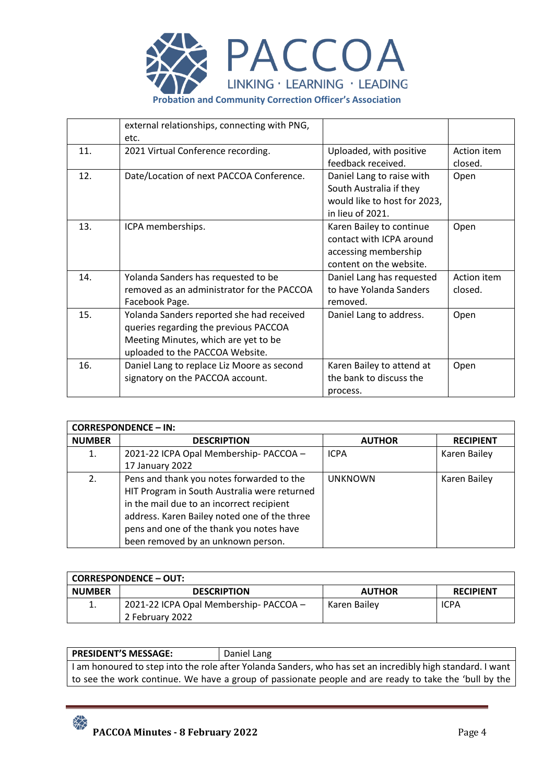

|     | external relationships, connecting with PNG,<br>etc.                                                                                                          |                                                                                                          |                        |
|-----|---------------------------------------------------------------------------------------------------------------------------------------------------------------|----------------------------------------------------------------------------------------------------------|------------------------|
| 11. | 2021 Virtual Conference recording.                                                                                                                            | Uploaded, with positive<br>feedback received.                                                            | Action item<br>closed. |
| 12. | Date/Location of next PACCOA Conference.                                                                                                                      | Daniel Lang to raise with<br>South Australia if they<br>would like to host for 2023,<br>in lieu of 2021. | Open                   |
| 13. | ICPA memberships.                                                                                                                                             | Karen Bailey to continue<br>contact with ICPA around<br>accessing membership<br>content on the website.  | Open                   |
| 14. | Yolanda Sanders has requested to be<br>removed as an administrator for the PACCOA<br>Facebook Page.                                                           | Daniel Lang has requested<br>to have Yolanda Sanders<br>removed.                                         | Action item<br>closed. |
| 15. | Yolanda Sanders reported she had received<br>queries regarding the previous PACCOA<br>Meeting Minutes, which are yet to be<br>uploaded to the PACCOA Website. | Daniel Lang to address.                                                                                  | Open                   |
| 16. | Daniel Lang to replace Liz Moore as second<br>signatory on the PACCOA account.                                                                                | Karen Bailey to attend at<br>the bank to discuss the<br>process.                                         | Open                   |

| <b>CORRESPONDENCE - IN:</b> |                                              |                |                  |  |
|-----------------------------|----------------------------------------------|----------------|------------------|--|
| <b>NUMBER</b>               | <b>DESCRIPTION</b>                           | <b>AUTHOR</b>  | <b>RECIPIENT</b> |  |
| 1.                          | 2021-22 ICPA Opal Membership- PACCOA -       | <b>ICPA</b>    | Karen Bailey     |  |
|                             | 17 January 2022                              |                |                  |  |
| 2.                          | Pens and thank you notes forwarded to the    | <b>UNKNOWN</b> | Karen Bailey     |  |
|                             | HIT Program in South Australia were returned |                |                  |  |
|                             | in the mail due to an incorrect recipient    |                |                  |  |
|                             | address. Karen Bailey noted one of the three |                |                  |  |
|                             | pens and one of the thank you notes have     |                |                  |  |
|                             | been removed by an unknown person.           |                |                  |  |

## **CORRESPONDENCE – OUT:**

| ----------------- |                                       |               |                  |  |  |
|-------------------|---------------------------------------|---------------|------------------|--|--|
| <b>NUMBER</b>     | <b>DESCRIPTION</b>                    | <b>AUTHOR</b> | <b>RECIPIENT</b> |  |  |
|                   | 2021-22 ICPA Opal Membership-PACCOA - | Karen Bailey  | <b>ICPA</b>      |  |  |
|                   | 2 February 2022                       |               |                  |  |  |

## **PRESIDENT'S MESSAGE:** Daniel Lang

I am honoured to step into the role after Yolanda Sanders, who has set an incredibly high standard. I want to see the work continue. We have a group of passionate people and are ready to take the 'bull by the

 $\frac{1}{2}$ **PACCOA Minutes - 8 February 2022** Page 4

׀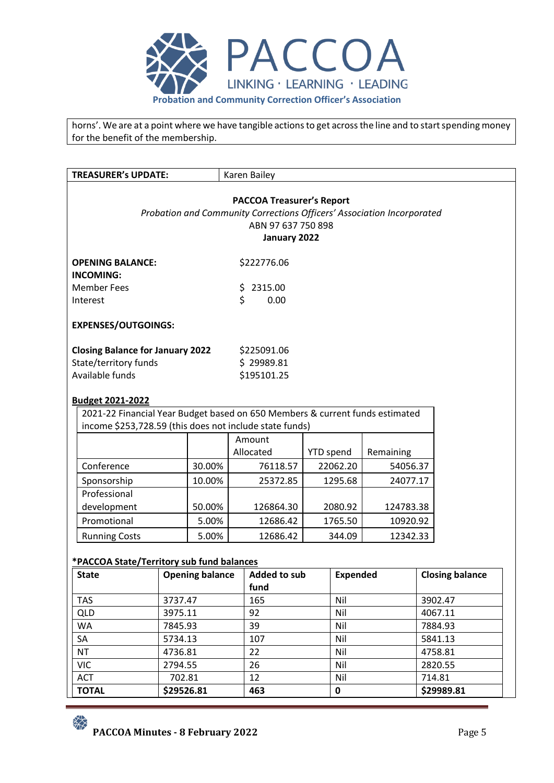

horns'. We are at a point where we have tangible actions to get across the line and to start spending money for the benefit of the membership.

| <b>TREASURER's UPDATE:</b>                                                   |                               | Karen Bailey                                                                                               |                  |                 |           |                        |  |
|------------------------------------------------------------------------------|-------------------------------|------------------------------------------------------------------------------------------------------------|------------------|-----------------|-----------|------------------------|--|
|                                                                              |                               |                                                                                                            |                  |                 |           |                        |  |
|                                                                              |                               | <b>PACCOA Treasurer's Report</b><br>Probation and Community Corrections Officers' Association Incorporated |                  |                 |           |                        |  |
|                                                                              |                               | ABN 97 637 750 898                                                                                         |                  |                 |           |                        |  |
|                                                                              |                               | January 2022                                                                                               |                  |                 |           |                        |  |
|                                                                              |                               |                                                                                                            |                  |                 |           |                        |  |
| <b>OPENING BALANCE:</b><br><b>INCOMING:</b>                                  | \$222776.06                   |                                                                                                            |                  |                 |           |                        |  |
| <b>Member Fees</b>                                                           | \$                            | 2315.00                                                                                                    |                  |                 |           |                        |  |
| Interest                                                                     | \$                            | 0.00                                                                                                       |                  |                 |           |                        |  |
| <b>EXPENSES/OUTGOINGS:</b>                                                   |                               |                                                                                                            |                  |                 |           |                        |  |
| <b>Closing Balance for January 2022</b>                                      |                               | \$225091.06                                                                                                |                  |                 |           |                        |  |
| State/territory funds                                                        |                               | \$29989.81                                                                                                 |                  |                 |           |                        |  |
| Available funds                                                              |                               | \$195101.25                                                                                                |                  |                 |           |                        |  |
| <b>Budget 2021-2022</b>                                                      |                               |                                                                                                            |                  |                 |           |                        |  |
| 2021-22 Financial Year Budget based on 650 Members & current funds estimated |                               |                                                                                                            |                  |                 |           |                        |  |
| income \$253,728.59 (this does not include state funds)                      |                               |                                                                                                            |                  |                 |           |                        |  |
|                                                                              |                               | Amount                                                                                                     |                  |                 |           |                        |  |
|                                                                              |                               | Allocated                                                                                                  | <b>YTD</b> spend |                 | Remaining |                        |  |
| Conference                                                                   | 30.00%                        | 76118.57                                                                                                   |                  | 22062.20        | 54056.37  |                        |  |
| Sponsorship                                                                  | 10.00%                        | 25372.85                                                                                                   |                  | 1295.68         | 24077.17  |                        |  |
| Professional                                                                 |                               |                                                                                                            |                  |                 |           |                        |  |
| development                                                                  | 50.00%                        | 126864.30                                                                                                  |                  | 2080.92         | 124783.38 |                        |  |
| Promotional                                                                  | 5.00%                         | 12686.42                                                                                                   |                  | 1765.50         | 10920.92  |                        |  |
| <b>Running Costs</b>                                                         | 5.00%                         | 12686.42                                                                                                   |                  | 344.09          | 12342.33  |                        |  |
| *PACCOA State/Territory sub fund balances                                    |                               |                                                                                                            |                  |                 |           |                        |  |
| <b>State</b>                                                                 | <b>Opening balance</b>        | <b>Added to sub</b>                                                                                        |                  | <b>Expended</b> |           | <b>Closing balance</b> |  |
|                                                                              |                               | fund                                                                                                       |                  |                 |           |                        |  |
| <b>TAS</b><br>3737.47                                                        |                               | 165<br>Nil                                                                                                 |                  |                 | 3902.47   |                        |  |
| <b>QLD</b><br>3975.11                                                        |                               | 92                                                                                                         |                  | Nil             |           | 4067.11                |  |
| WA<br>7845.93                                                                |                               | 39<br>Nil                                                                                                  |                  |                 | 7884.93   |                        |  |
| SA<br>5734.13                                                                |                               | 107                                                                                                        |                  | Nil             |           | 5841.13                |  |
| NT<br>4736.81                                                                |                               | 22                                                                                                         |                  | Nil             |           | 4758.81                |  |
| <b>VIC</b><br>2794.55                                                        |                               | 26                                                                                                         |                  | Nil             |           | 2820.55                |  |
| <b>ACT</b>                                                                   | 12<br>Nil<br>702.81<br>714.81 |                                                                                                            |                  |                 |           |                        |  |
| <b>TOTAL</b><br>\$29526.81<br>463<br>$\mathbf 0$<br>\$29989.81               |                               |                                                                                                            |                  |                 |           |                        |  |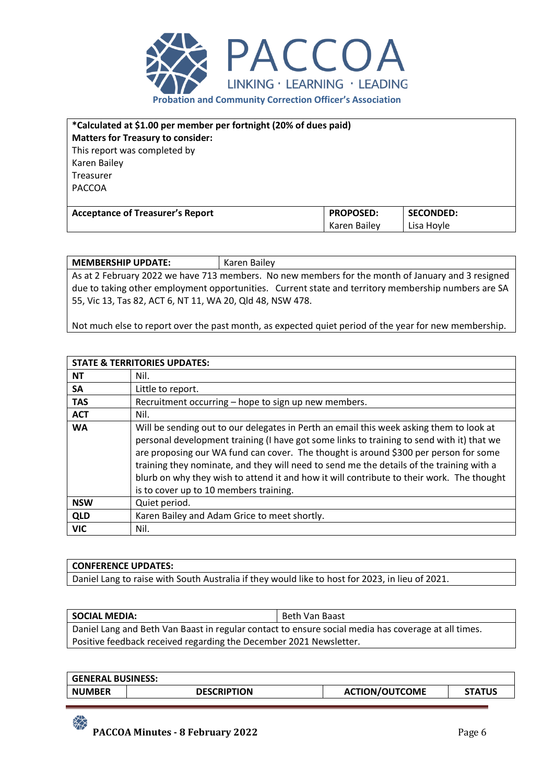

| *Calculated at \$1.00 per member per fortnight (20% of dues paid) |                  |                  |  |  |
|-------------------------------------------------------------------|------------------|------------------|--|--|
| <b>Matters for Treasury to consider:</b>                          |                  |                  |  |  |
| This report was completed by                                      |                  |                  |  |  |
| Karen Bailey                                                      |                  |                  |  |  |
| Treasurer                                                         |                  |                  |  |  |
| <b>PACCOA</b>                                                     |                  |                  |  |  |
|                                                                   |                  |                  |  |  |
| <b>Acceptance of Treasurer's Report</b>                           | <b>PROPOSED:</b> | <b>SECONDED:</b> |  |  |
|                                                                   | Karen Bailey     | Lisa Hoyle       |  |  |

**MEMBERSHIP UPDATE:** Karen Bailey As at 2 February 2022 we have 713 members. No new members for the month of January and 3 resigned due to taking other employment opportunities. Current state and territory membership numbers are SA 55, Vic 13, Tas 82, ACT 6, NT 11, WA 20, Qld 48, NSW 478.

Not much else to report over the past month, as expected quiet period of the year for new membership.

|            | <b>STATE &amp; TERRITORIES UPDATES:</b>                                                                                                                                                                                                                                                                                                                                                                                                                                                                         |
|------------|-----------------------------------------------------------------------------------------------------------------------------------------------------------------------------------------------------------------------------------------------------------------------------------------------------------------------------------------------------------------------------------------------------------------------------------------------------------------------------------------------------------------|
| <b>NT</b>  | Nil.                                                                                                                                                                                                                                                                                                                                                                                                                                                                                                            |
| <b>SA</b>  | Little to report.                                                                                                                                                                                                                                                                                                                                                                                                                                                                                               |
| <b>TAS</b> | Recruitment occurring – hope to sign up new members.                                                                                                                                                                                                                                                                                                                                                                                                                                                            |
| <b>ACT</b> | Nil.                                                                                                                                                                                                                                                                                                                                                                                                                                                                                                            |
| <b>WA</b>  | Will be sending out to our delegates in Perth an email this week asking them to look at<br>personal development training (I have got some links to training to send with it) that we<br>are proposing our WA fund can cover. The thought is around \$300 per person for some<br>training they nominate, and they will need to send me the details of the training with a<br>blurb on why they wish to attend it and how it will contribute to their work. The thought<br>is to cover up to 10 members training. |
| <b>NSW</b> | Quiet period.                                                                                                                                                                                                                                                                                                                                                                                                                                                                                                   |
| <b>QLD</b> | Karen Bailey and Adam Grice to meet shortly.                                                                                                                                                                                                                                                                                                                                                                                                                                                                    |
| <b>VIC</b> | Nil.                                                                                                                                                                                                                                                                                                                                                                                                                                                                                                            |

## **CONFERENCE UPDATES:**

 $\frac{1}{2}$ 

Daniel Lang to raise with South Australia if they would like to host for 2023, in lieu of 2021.

| <b>SOCIAL MEDIA:</b>                                                                                | Beth Van Baast |
|-----------------------------------------------------------------------------------------------------|----------------|
| Daniel Lang and Beth Van Baast in regular contact to ensure social media has coverage at all times. |                |
| Positive feedback received regarding the December 2021 Newsletter.                                  |                |

| <b>GENERAL BUSINESS:</b> |                    |                       |               |
|--------------------------|--------------------|-----------------------|---------------|
| <b>NUMBER</b>            | <b>DESCRIPTION</b> | <b>ACTION/OUTCOME</b> | <b>STATUS</b> |
|                          |                    |                       |               |